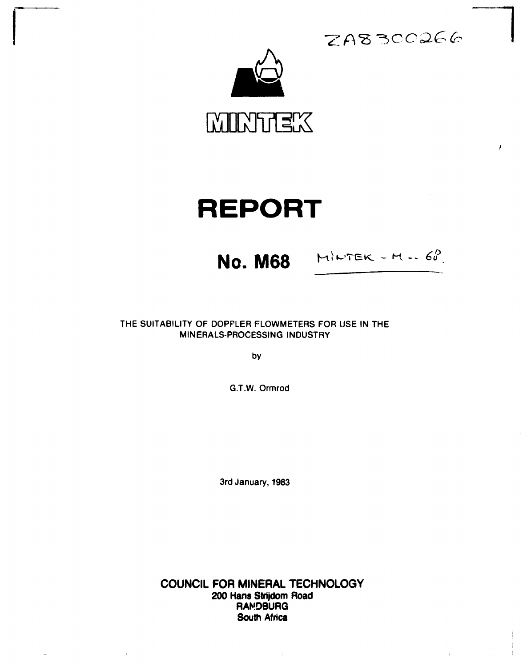

# **REPORT**

**NO. M68** MINTER - M. 60.

 $ZAB300266$ 

**THE SUITABILITY OF DOPPLER FLOWMETERS FOR USE IN THE MINERALS-PROCESSING INDUSTRY** 

**by** 

**G.T.W. Ormrod** 

**3rd January, 1983** 

**COUNCIL FOR MINERAL TECHNOLOGY 200 Hans Strijdom Road RANDBURG South Africa** 

 $\sim 40\,$  km  $^{-1}$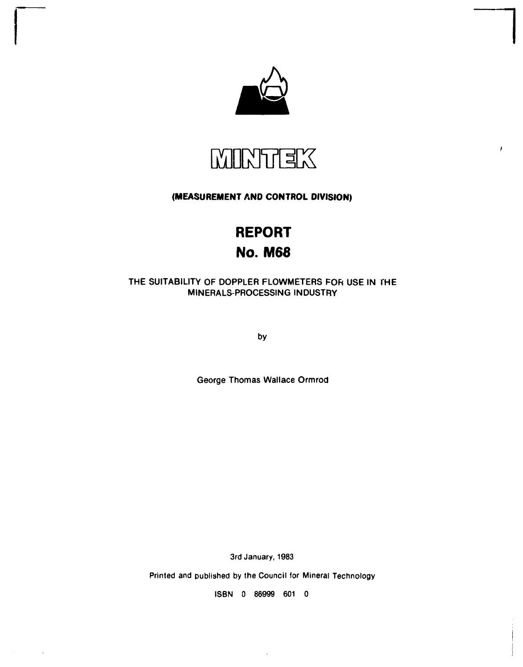



# **(MEASUREMENT AND CONTROL DIVISION)**

# **REPORT No. M68**

# THE SUITABILITY OF DOPPLER FLOWMETERS FOR USE IN THE MINERALS-PROCESSING INDUSTRY

by

George Thomas Wallace Ormrod

3rd January, 1983

Printed and published by the Council for Mineral Technology

ISBN 0 86999 601 0

 $\overline{1}$ 

 $\bar{1}$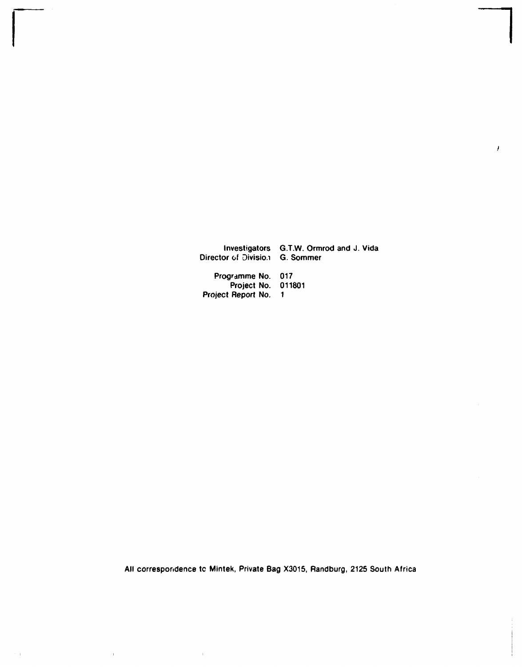**investigators G.T.W. Ormrod and J. Vida Director of Divisio/i G. Sommer Programme No. 017 Project No. 011801 Project Report No. 1** 

 $\pmb{\iota}$ 

**All correspondence tc Mintek, Private Bag X3015, Randburg, 2125 South Africa** 

 $\bar{\mathbf{r}}$ 

 $\bar{\rm H}$ 

 $\bar{1}$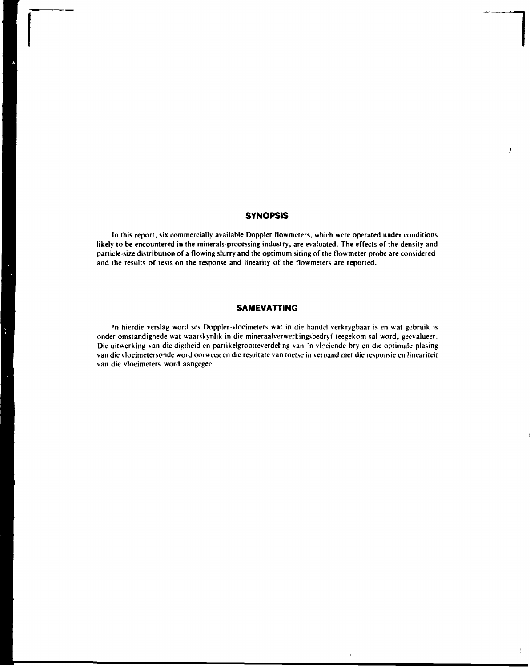# **SYNOPSIS**

**/** 

**In this report, six commercially available Doppler flowmeters, which were operated under conditions likely to be encountered in the minerals-processing industry, are evaluated. The effects of the density and particle-size distribution of a flowing slurry and the optimum siting of the flowmeter probe are considered and the results of tests on the response and linearity of the flowmeters are reported.** 

# **SAMEVATTING**

**'n hierdie verslag word ses Doppler-vloeimeters wat in die handel verkrygbaar is en wat gebruik is onder omstandighede wat waarskynlik in die mineraalverwerkingsbedryf teegekom sal word, geêvaluecr. Die uitwcrking van die diptheid en partikelgrootteverdeling van 'n vioeiende bry en die optimale plasing van die vlocimetersonde word oorweeg en die resultate van toetse in veroand met die responsie en lineariteit van die vloeimeters word aangegee.**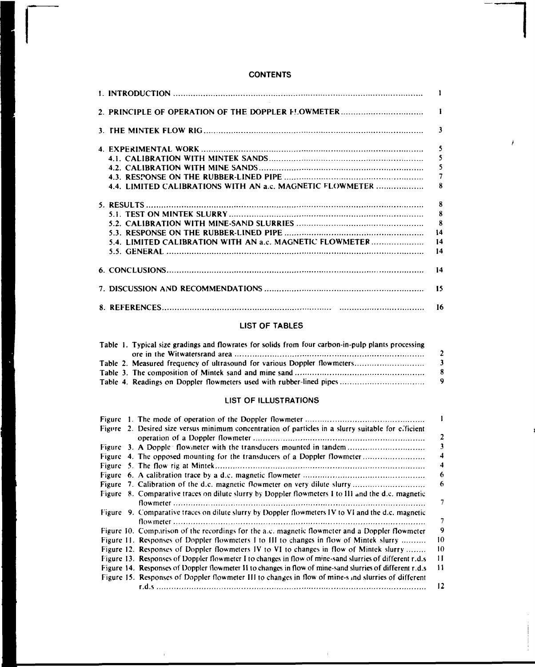# **CONTENTS**

|                                                                                                    | -1                       |
|----------------------------------------------------------------------------------------------------|--------------------------|
|                                                                                                    | $\mathbf{1}$             |
|                                                                                                    | $\mathbf{3}$             |
|                                                                                                    | $\overline{\mathbf{5}}$  |
|                                                                                                    | $\overline{\phantom{a}}$ |
|                                                                                                    | 5                        |
|                                                                                                    | $\overline{7}$           |
| 4.4. LIMITED CALIBRATIONS WITH AN a.c. MAGNETIC FLOWMETER                                          | 8                        |
|                                                                                                    | $\mathbf{a}$             |
|                                                                                                    | $\mathbf{g}$             |
|                                                                                                    | -8                       |
|                                                                                                    | 14                       |
| 5.4. LIMITED CALIBRATION WITH AN a.c. MAGNETIC FLOWMETER                                           | 14                       |
|                                                                                                    | 14                       |
|                                                                                                    | 14                       |
|                                                                                                    | 15                       |
|                                                                                                    | -16                      |
| <b>LIST OF TABLES</b>                                                                              |                          |
| Table 1. Typical size gradings and flowrates for solids from four carbon-in-pulp plants processing |                          |
|                                                                                                    | $\boldsymbol{2}$         |
| Table 2. Measured frequency of ultrasound for various Doppler flowmeters                           | 3                        |

# **Table 4. Readings on Doppler flowmeters used with rubber-lined pipes 9 LIST OF ILLUSTRATIONS**

**Table 3. The composition of Mintek sand and mine sand 8** 

|  | Figure 2. Desired size versus minimum concentration of particles in a slurry suitable for efficient      |    |
|--|----------------------------------------------------------------------------------------------------------|----|
|  |                                                                                                          | 2  |
|  |                                                                                                          |    |
|  | Figure 3. A Dopple flowmeter with the transducers mounted in tandem                                      |    |
|  | Figure 4. The opposed mounting for the transducers of a Doppler flowmeter                                | 4  |
|  |                                                                                                          | 4  |
|  |                                                                                                          | 6  |
|  |                                                                                                          | 6  |
|  | Figure 8. Comparative traces on dilute slurry by Doppler flowmeters I to 111 and the d.c. magnetic       |    |
|  |                                                                                                          | 7  |
|  | Figure 9. Comparative traces on dilute slurry by Doppler flowmeters IV to VI and the d.c. magnetic       |    |
|  |                                                                                                          | 7  |
|  | Figure 10. Comparison of the recordings for the a.c. magnetic flowmeter and a Doppler flowmeter          | 9  |
|  | Figure 11. Responses of Doppler flowmeters 1 to III to changes in flow of Mintek slurry                  | 10 |
|  | Figure 12. Responses of Doppler flowmeters IV to VI to changes in flow of Mintek slurry                  | 10 |
|  | Figure 13. Responses of Doppler flowmeter I to changes in flow of mine-sand slurries of different r.d.s  | 11 |
|  | Figure 14. Responses of Doppler flowmeter II to changes in flow of mine-sand slurries of different r.d.s | 11 |
|  | Figure 15. Responses of Doppler flowmeter III to changes in flow of mine-s and slurries of different     |    |
|  |                                                                                                          | 12 |

 $\bar{1}$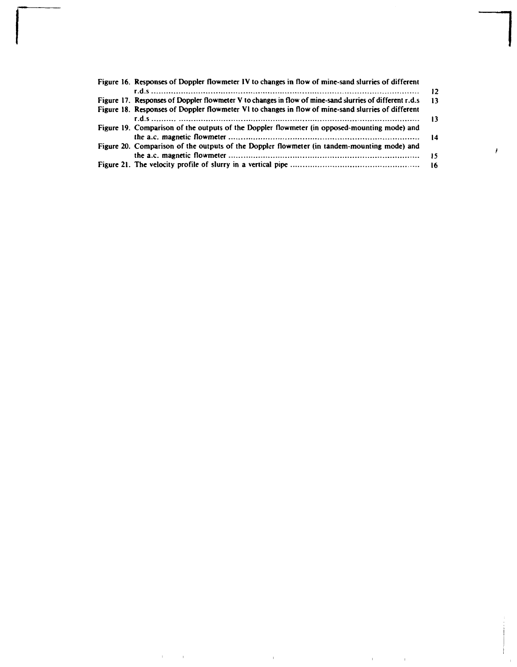| Figure 16. Responses of Doppler flowmeter IV to changes in flow of mine-sand slurries of different      |      |
|---------------------------------------------------------------------------------------------------------|------|
|                                                                                                         |      |
| Figure 17. Responses of Doppler flowmeter V to changes in flow of mine-sand slurries of different r.d.s | - 13 |
| Figure 18. Responses of Doppler flowmeter VI to changes in flow of mine-sand slurries of different      |      |
|                                                                                                         |      |
| Figure 19. Comparison of the outputs of the Doppler flowmeter (in opposed-mounting mode) and            |      |
|                                                                                                         |      |
| Figure 20. Comparison of the outputs of the Doppler flowmeter (in tandem-mounting mode) and             |      |
|                                                                                                         |      |
|                                                                                                         |      |

 $\mathcal{A}^{\text{max}}_{\text{max}}$  and  $\mathcal{A}^{\text{max}}_{\text{max}}$ 

 $\mathcal{L}^{\text{max}}_{\text{max}}$  and  $\mathcal{L}^{\text{max}}_{\text{max}}$ 

 $\sim 10^{11}$  km s  $^{-1}$  . The  $^{-1}$ 

 $\sim 10^5$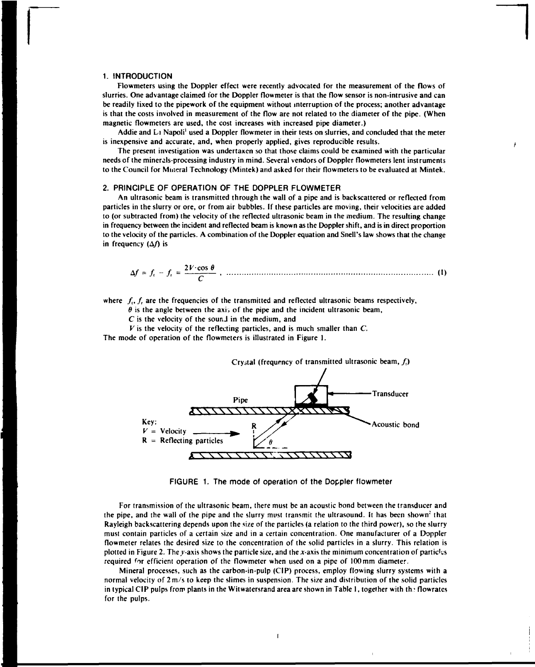# **1. INTRODUCTION**

**Flowmeters using the Doppler effect were recently advocated for the measurement of the flows of slurries. One advantage claimed for the Doppler flowmeter is that the flow sensor is non-intrusive and can be readily fixed to the pipework of the equipment without interruption of the process; another advantage is that the costs involved in measurement of the flow are not related to the diameter of the pipe. (When magnetic flowmeters are used, the cost increases with increased pipe diameter.)** 

**Addie and Li Napoli' used a Doppler flowmeter in their tests on slurries, and concluded that the meter is inexpensive and accurate, and, when properly applied, gives reproducible results.** 

**The present investigation was undertaken so that those claims could be examined with the particular needs of the minerals-processing industry in mind. Several vendors of Doppler flowmeters lent instruments to the Council for Mineral Technology (Mintek) and asked for their flowmeters to be evaluated at Mintek.** 

# **2. PRINCIPLE OF OPERATION OF THE DOPPLER FLOWMETER**

**An ultrasonic beam is transmitted through the wall of a pipe and is backscattered or reflected from particles in the slurry or ore, or from air bubbles. If these particles are moving, their velocities are added to (or subtracted from) the velocity of the reflected ultrasonic beam in the medium. The resulting change in frequency between the incident and reflected beam is known as the Doppler shift, and is in direct proportion to the velocity of the particles. A combination of the Doppler equation and Snell's law shows that the change in frequency (A/) is** 

$$
\Delta f = f_t - f_t = \frac{2V \cdot \cos \theta}{C} , \quad \dots
$$
 (1)

where  $f_i$ ,  $f_i$  are the frequencies of the transmitted and reflected ultrasonic beams respectively,

 $\theta$  is the angle between the axis of the pipe and the incident ultrasonic beam,

*C* **is the velocity of the sounJ in the medium, and** 

*V* **is the velocity of the reflecting particles, and is much smaller than** *C.* 

**The mode of operation of the flowmeters is illustrated in Figure 1.** 



**FIGURE 1. The mode of operation of the Doppler flowmeter** 

**For transmission of the ultrasonic beam, there must be an acoustic bond between the transducer and the pipe, and the wall of the pipe and the slurry must transmit the ultrasound. It has been shown<sup>2</sup> that Rayleigh backscattering depends upon the size of the particles (a relation to the third power), so the slurry must contain particles of a certain size and in a certain concentration. One manufacturer of a Doppler flowmeter relates the desired size to the concentration of the solid particles in a slurry. This relation is plotted in Figure 2. The y-axis shows the particle size, and the x-axis the minimum concentration of particles required <sup>f</sup>or efficient operation of the flowmeter when used on a pipe of 100 mm diameter.** 

**Mineral processes, such as the carbon-in-pulp (CIP) process, employ flowing slurry systems with a normal velocity of 2m/s to keep the slimes in suspension. The size and distribution of the solid particles**  in typical CIP pulps from plants in the Witwatersrand area are shown in Table 1, together with the flowrates **for the pulps.** 

 $\overline{1}$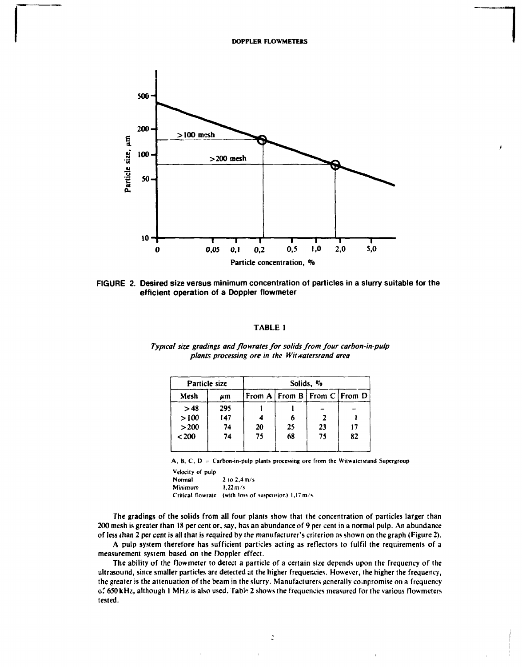

**FIGURE 2. Desired size versus minimum concentration of particles in a slurry suitable for the efficient operation of a Doppler flowmeter** 

# **TABLE 1**

| $\mu$ m<br>295 |    |    | From A $\mid$ From B $\mid$ From C $\mid$ From D |    |
|----------------|----|----|--------------------------------------------------|----|
|                |    |    |                                                  |    |
|                |    |    |                                                  |    |
| 147            |    |    |                                                  |    |
| 74             |    |    | 23                                               | 17 |
| 74             |    |    | 75                                               | 82 |
|                | 20 | 75 | 25<br>68                                         |    |

*Typical size gradings and flowrales for solids from four carbon-in-pulp*  plants processing ore in the Witwatersrand area

A, B, C, D = Carbon-in-pulp plants processing ore from the Witwatersrand Supergroup

**Velocity of pulp Normal 2 to 2,4 m/s Minimum 1,22 m/s Critical flowrate (with loss of suspension) 1,17m/s.** 

**The gradings of the solids from all four plants show that the concentration of particles larger than 200 mesh is greater than 18 per cent or, say, has an abundance of 9 per cent in a normal pulp. An abundance of less than 2 per cent is all that is required by the manufacturer's criterion as shown on the graph (Figure 2).** 

**A pulp system therefore has sufficient particles acting as reflectors to fulfil the requirements of a measurement system based on the Doppler effect.** 

**The ability of the flowmeter to detect a particle of a certain size depends upon the frequency of the ultrasound, since smaller particles are detected at the higher frequencies. However, the higher the frequency, the greater is the attenuation of the beam in the slurry. Manufacturers generally co.npromise on a frequency o." 650 kHz, although I MHz is also used. Tabl\* 2 shows the frequencies measured for the various flowmeters tested.**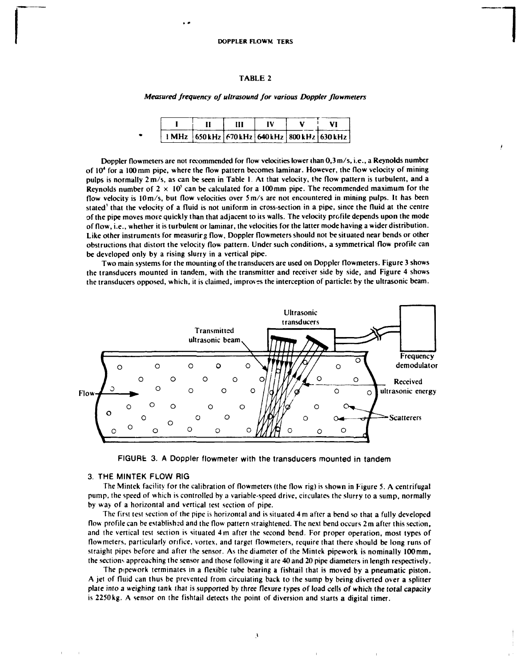# **TABLE 2**

*Measured frequency of ultrasound for various Doppler flowmeters* 

# **I .1 III IV V VI 1MHz 650 kHz 670 kHz 640kHz 800 kHz 630 kHz**

**Doppler flowmeters are not recommended for flow velocities lower than 0,3 m/s, i.e., a Reynolds number of 10<sup>4</sup> for a 100mm pipe, where the flow pattern becomes laminar. However, the flow velocity of mining pulps is normally 2m/s, as can be seen in Table I. At that velocity, the flow pattern is turbulent, and a Reynolds number of**  $2 \times 10^5$  **can be calculated for a 100 mm pipe. The recommended maximum for the flow velocity is lOm/s, but flow velocities over 5m/s are not encountered in mining pulps. It has been stated' that the velocity of a fluid is not uniform in cross-section in a pipe, since the fluid at the centre of the pipe moves more quickly than that adjacent to its walls. The velocity profile depends upon the mode of flow, i.e., whether it is turbulent or laminar, the velocities for the latter mode having a wider distribution.**  Like other instruments for measuring flow, Doppler flowmeters should not be situated near bends or other **obstructions that distort the velocity flow pattern. Under such conditions, a symmetrical flow profile can be developed only by a rising slurry in a vertical pipe.** 

**Two main systems for the mounting of the transducers are used on Doppler flowmeters. Figure 3 shows the transducers mounted in tandem, with the transmitter and receiver side by side, and Figure 4 shows the transducers opposed, which, it is claimed, improves the interception of particles by the ultrasonic beam.** 





# **3. THE MINTEK FLOW RIG**

**The Mintek facility for the calibration of flowmeters (the flow rig) is shown in Figure 5. A centrifugal pump, the speed of which is controlled by a variable-speed drive, circulates the slurry to a sump, normally by way of a horizontal and vertical test section of pipe.** 

**The first test section of the pipe is horizontal and is situated 4 m after a bend so that a fully developed flow profile can be established and the flow pattern straightened. The next bend occurs 2 m after this section, and the vertical test section is situated 4m after the second bend. For proper operation, most types of flowmeters, particularly orifice, vortex, and target flowmeters, require (hat there should be long runs of straight pipes before and after the sensor. As the diameter of the Mintek pipework is nominally 100mm, the sections approaching the sensor and those following it are 40 and 20 pipe diameters in length respectively.** 

**The pipework terminates in a flexible tube bearing a fishtail that is moved by a pneumatic piston. A jet of fluid can thus be prevented from circulating back to the sump by being diverted over a splitter plate into a weighing tank that is supported by three flexure types of load cells of which the total capacity is 2250kg. A sensor on the fishtail detects the point of diversion and starts a digital timer.** 

*\*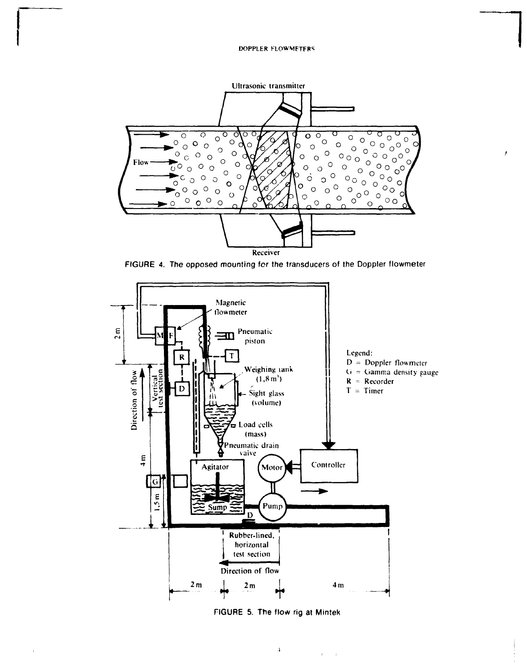# **DOPPLER FLOWMFTFRS**



FfGURE 4. The opposed mounting for the transducers of the Doppler flowmeter



FIGURE 5. The flow rig at Mintek

 $\bar{A}$ 

 $\mathbf{1}^{\mathrm{c}}$  ,  $\mathbf{1}^{\mathrm{c}}$ 

 $\mathbf{r}$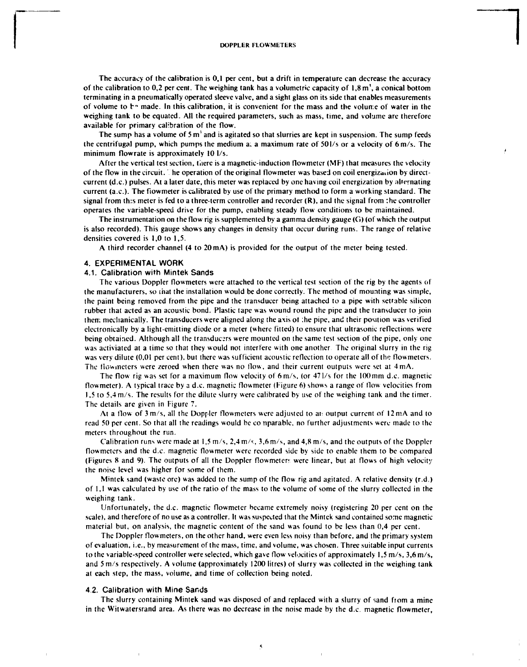The accuracy of the calibration is 0,1 per cent, but a drift in temperature can decrease the accuracy of the calibration to 0,2 per cent. The weighing tank has a volumetric capacity of  $1,8 \text{ m}$ , a conical bottom terminating in a pneumatically operated sleeve valve, and a sight glass on its side that enables measurements of volume to  $\mathbf{t}^*$  made. In this calibration, it is convenient for the mass and the volume of water in the weighing tank to be equated. All the required parameters, such as mass, time, and volume are therefore available for primary calibration of the flow.

The sump has a volume of 5 m<sup>3</sup> and is agitated so that slurries are kept in suspension. The sump feeds the centrifugal pump, which pumps the medium a; a maximum rate of 501/s or a velocity of 6m/s. The minimum flowrate is approximately 10 l/s.

After the vertical test section, there is a magnetic-induction flowmeter (MF) that measures the velocity of the flow in the circuit. The operation of the original flowmeter was based on coil energization by directcurrent (d.c.) pulses. At a later date, this meter was replaced by one having coil energization by alternating current (a.c). The flowmeter is calibrated by use of the primary method to form a working standard. The signal from this meter is fed to a three-term controller and recorder  $(R)$ , and the signal from the controller operates the variable-speed drive for the pump, enabling steady flow conditions to be maintained.

The instrumentation on the flow rig is supplemented by a gamma density gauge (G) (of which the output is also recorded). This gauge shows any changes in density that occur during runs. The range of relative densities covered is 1,0 to 1,5.

A third recorder channel (4 to 20mA) is provided for the output of the meter being tested.

# 4. EXPERIMENTAL WORK

# 4.1. Calibration with Mintek Sands

The various Doppler flowmeters were attached to the vertical test section of the rig by the agents of the manufacturers, so that the installation would be done correctly. The method of mounting was simple, the paint being removed from the pipe and the transducer being attached to a pipe with settable silicon rubber that acted as an acoustic bond. Plastic tape was wound round the pipe and the transducer to join therr; mechanically. The transducers were aligned along the axis ot :he pipe, and their position was verified electronically by a light-emitting diode or a meter (where fitted) to ensure that ultrasonic reflections were being obtained. Although all the transducers were mounted on the same test section of the pipe, only one was activiated at a time so that they would not interfere with one another. The original slurry in the rig was very dilute (0,01 per cent), but there was sufficient acoustic reflection to operate all of the flowmeters. The flowmeters were zeroed when there was no How, and their current outputs were set at 4mA.

The flow rig was set for a maximum flow velocity of 6m/s, (or 47l/s for the 100mm d.c. magnetic flowmeter). A typical trace by a d.c. magnetic flowmeter (Figure 6) shows a range of flow velocities from 1,5 to 5,4 m/s. The results for the dilute slurry were calibrated by use of the weighing tank and the timer. The details are given in Figure 7.

At a flow of  $3 \text{ m/s}$ , all the Doppler flowmeters were adjusted to an output current of 12 mA and to read 50 per cent. So that all the readings would be conparable, no further adjustments were made to the meters throughout the run.

Calibration runs were made at  $1,5$  m/s,  $2,4$  m/s,  $3,6$  m/s, and  $4,8$  m/s, and the outputs of the Doppler flowmeters and the d.c. magnetic flowmeter were recorded side by side to enable them to be compared (Figures 8 and 9). The outputs of all the Doppler flowmeter were linear, but at flows of high velocity the noise level was higher for some of them.

Mintek sand (waste ore) was added to the sump of the flow rig and agitated. A relative density (r.d.) of 1,1 was calculated by use of the ratio of the mass to the volume of some of the slurry collected in the weighing tank.

Unfortunately, the d.c. magnetic flowmeter became extremely noisy (registering 20 per cent on the scale), and therefore of no use as a controller. It was suspected that the Mintek sand contained some magnetic material but, on analysis, the magnetic content of the sand was found to be less than 0,4 per cent.

The Doppler flowmeters, on the other hand, were even less noisy than before, and the primary system of evaluation, i.e., by measurement of the mass, time, and volume, was chosen. Three suitable input currents to the variable-speed controller were selected, which gave flow velocities of approximately 1,5 m/s, 3,6 m/s, and 5 m/s respectively. A volume (approximately 1200 litres) of slurry was collected in the weighing tank at each step, the mass, volume, and time of collection being noted.

#### 4.2. Calibration with Mine Sands

The slurry containing Minlek sand was disposed of and replaced with a slurry of sand from a mine in the Witwatersrand area. As there was no decrease in the noise made by the d.c. magnetic flowmeter,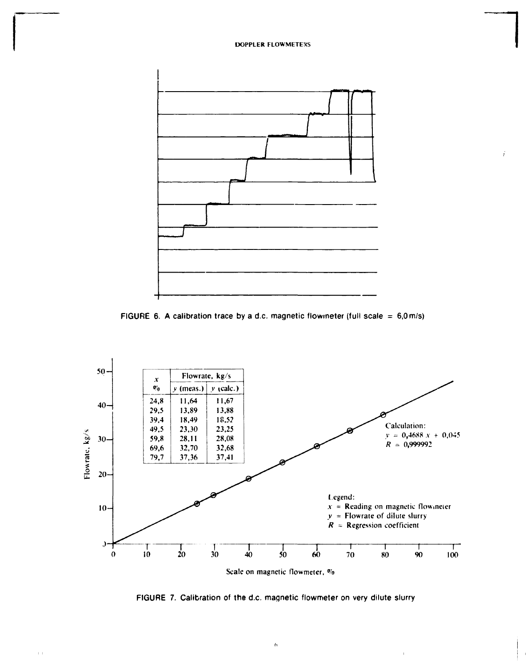

ý.





FIGURE 7. Calibration of the d.c. magnetic flowmeter on very dilute slurry

 $\hat{\mathbf{h}}$ 

 $\mathbb{E}[\mathbf{1}]$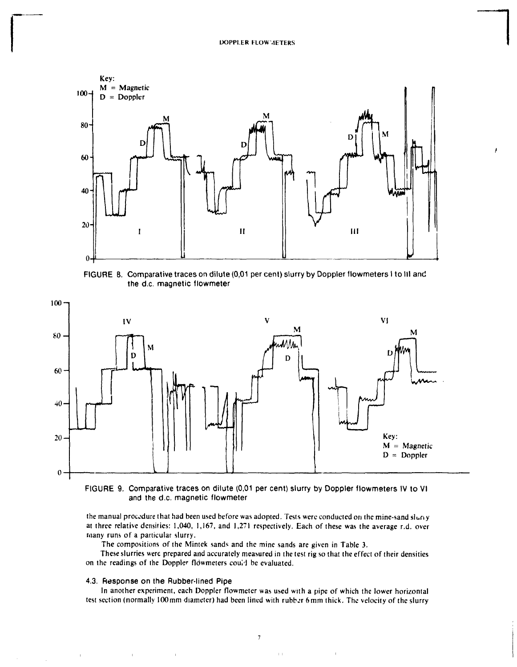

FIGURE 8. Comparative traces on dilute (0,01 per cent) slurry by Doppler flowmeters I to III and the d.c. magnetic flowmeter



FIGURE 9. Comparative traces on dilute (0,01 per cent) slurry by Doppler flowmeters IV to VI and the d.c. magnetic flowmeter

the manual procedure that had been used before was adopted. Tests were conducted on the mine-sand sluny at three relative densities: 1,040, 1,167, and 1,271 respectively. Each of these was the average r.d. over many runs of a particular slurry.

The compositions of the Mintek sands and the mine sands are given in Table 3.

These slurries were prepared and accurately measured in the test rig so that the effect of their densities on the readings of the Doppler flowmeters could be evaluated.

# 4.3. Response on the Rubber-lined Pipe

 $\mathbf{u}^{\dagger}$ 

 $\label{eq:1.1} \frac{1}{\|x\|^{2}}\leq \frac{1}{\|x\|^{2}}\leq \frac{1}{\|x\|^{2}}\leq \frac{1}{\|x\|^{2}}\leq \frac{1}{\|x\|^{2}}\leq \frac{1}{\|x\|^{2}}\leq \frac{1}{\|x\|^{2}}\leq \frac{1}{\|x\|^{2}}\leq \frac{1}{\|x\|^{2}}\leq \frac{1}{\|x\|^{2}}\leq \frac{1}{\|x\|^{2}}\leq \frac{1}{\|x\|^{2}}\leq \frac{1}{\|x\|^{2}}\leq \frac{$ 

 $\mathbf{u}^{\dagger}$ 

 $\mathbb{Z}^2$ 

In another experiment, each Doppler flowmeter was used with a pipe of which the lower horizontal test section (normally 100mm diameter) had been lined with rubber 6mm thick. The velocity of the slurry

 $\mathbf{E}(\mathbf{E}^{(1)},\mathbf{E}^{(2)},\mathbf{E}^{(3)})$  and  $\mathbf{E}^{(2)}$ 

 $\bar{\rm I}$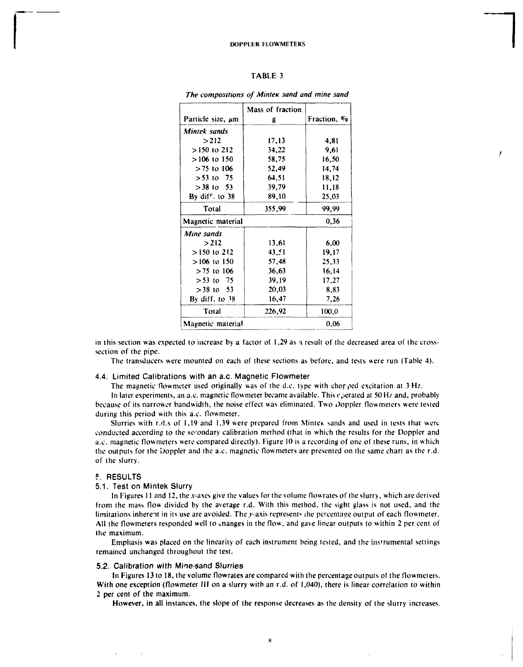# TABLE 3

|                        | Mass of fraction |             |  |  |
|------------------------|------------------|-------------|--|--|
| Particle size, $\mu$ m | g                | Fraction, % |  |  |
| Mintek sands           |                  |             |  |  |
| >212                   | 17,13            | 4,81        |  |  |
| $>150$ to 212          | 34,22            | 9,61        |  |  |
| $>106$ to 150          | 58,75            | 16,50       |  |  |
| $>75$ to 106           | 52,49            | 14.74       |  |  |
| $> 53$ to 75           | 64.51            | 18,12       |  |  |
| $>$ 38 to 53           | 39,79            | 11.18       |  |  |
| By diff. to $38$       | 89,10            | 25,03       |  |  |
| Total                  | 355,99           | 99.99       |  |  |
| Magnetic material      |                  | 0.36        |  |  |
| Mine sands             |                  |             |  |  |
| >212                   | 13,61            | 6,00        |  |  |
| $>150$ to 212          | 43.51            | 19,17       |  |  |
| $>106$ to 150          | 57,48            | 25,33       |  |  |
| $> 75$ to 106          | 36,63            | 16,14       |  |  |
| $> 53$ to 75           | 39.19            | 17,27       |  |  |
| $>$ 38 to 53           | 20,03            | 8.83        |  |  |
| By diff. to $38$       | 16.47            | 7,26        |  |  |
| Total                  | 226,92           | 100.0       |  |  |
| Magnetic material      |                  | 0.06        |  |  |

*The compositions of Mintek sand and mine sand* 

in this section was expected to increase by a factor of 1,29 as a result of the decreased area of the crosssection of the pipe.

The transducers were mounted on each of these sections as before, and tests were run (Table 4).

# 4.4. Limited Calibrations with an a.c. Magnetic Flowmeter

The magnetic flowmeter used originally was of the d.c. type with ehorped excitation at 3 Hz.

In later experiments, an a.c. magnetic flowmeter became available. This experated at 50 Hz and, probably because of its narrower bandwidth, the noise effect was eliminated. Two Joppler flowmeters were tested during this period with this a.c. flowmeter.

Slurries with r.d.s of 1,19 and 1,39 were prepared from Mintek sands and used in tests that were conducted according *to* the secondary calibration method (that in which the results for the Doppler and a.c. magnetic flowmeters were compared directly). Figure 10 is a recording of one of these runs, in which the outputs for the Doppler and the a.c. magnetic flowmeters are presented on the same chart as the r.d. of the slurry.

# 5. RESULTS

#### 5.1. Test on Mintek Slurry

In Figures 11 and 12, the  $x$ -axes give the values for the volume flowrates of the slurry, which are derived from the mass flow divided by the average r.d. With this method, the sight glass is not used, and the limitations inherent in its use are avoided. The y-axis represents the percentage output of each flowmeter. All the flowmeters responded well to cnanges in the flow, and gave linear outputs to within 2 per cent of the maximum.

Emphasis was placed on the linearity of each instrument being tested, and the instrumental settings remained unchanged throughout the test.

# 5.2. Calibration with Mine-sand Slurries

In Figures 13 to 18, the volume flowrates are compared with the percentage outputs of the flowmeters. With one exception (flowmeter III on a slurry with an r.d. of 1,040), there is linear correlation to within 2 per cent of the maximum.

However, in all instances, the slope of the response decreases as the density of the slurry increases.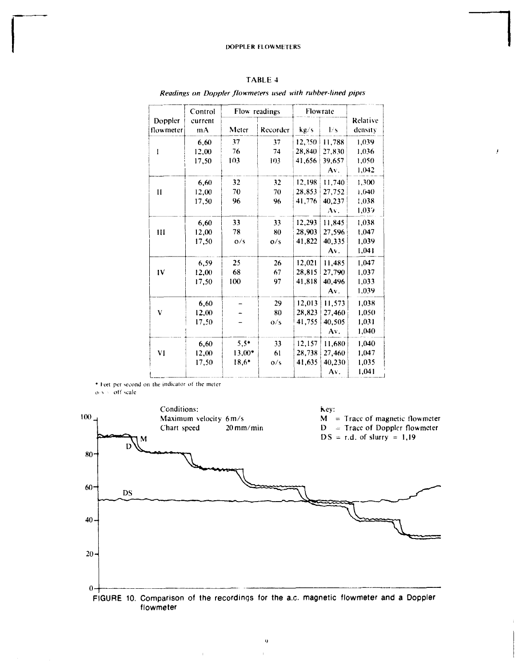|  | `ABLE |  |  |
|--|-------|--|--|
|--|-------|--|--|

*Readings on Doppler flowmeters used with rubber-lined pipes* 

i

|                      | Control       | Flow readings |               | Flowrate |        |                     |
|----------------------|---------------|---------------|---------------|----------|--------|---------------------|
| Doppler<br>flowmeter | current<br>mA | Meter         | Recorder      | kg/s     | l/s    | Relative<br>density |
|                      | 6.60          | 37            | 37            | 12,250   | 11,788 | 1,039               |
| I                    | 12,00         | 76            | 74            | 28,840   | 27,830 | 1.036               |
|                      | 17.50         | 103           | 103           | 41,656   | 39.657 | 1.050               |
|                      |               |               |               |          | Av.    | 1,042               |
|                      | 6,60          | 32            | 32            | 12,198   | 11.740 | 1,300               |
| $\mathbf{I}$         | 12,00         | 70            | 70            | 28,853   | 27,752 | 1,040               |
|                      | 17,50         | 96            | 96            | 41,776   | 40,237 | 1,038               |
|                      |               |               |               |          | Av.    | 1,039               |
|                      | 6.60          | 33            | 33            | 12,293   | 11,845 | 1,038               |
| Ш                    | 12,00         | 78            | 80            | 28,903   | 27,596 | 1,047               |
|                      | 17,50         | O/s           | $\frac{0}{s}$ | 41,822   | 40.335 | 1.039               |
|                      |               |               |               |          | Av.    | 1,041               |
|                      | 6,59          | 25            | 26            | 12,021   | 11,485 | 1.047               |
| IV                   | 12,00         | 68            | 67            | 28,815   | 27,790 | 1,037               |
|                      | 17.50         | 100           | 97            | 41,818   | 40.496 | 1,033               |
|                      |               |               |               |          | Av.    | 1,039               |
|                      | 6,60          |               | 29            | 12,013   | 11,573 | 1,038               |
| v                    | 12,00         |               | 80            | 28.823   | 27,460 | 1,050               |
|                      | 17,50         |               | O/S           | 41,755   | 40.505 | 1,031               |
|                      |               |               |               |          | Av.    | 1.040               |
|                      | 6,60          | $5,5*$        | 33            | 12,157   | 11,680 | 1,040               |
| V1                   | 12,00         | $13.00*$      | 61            | 28.738   | 27,460 | 1.047               |
|                      | 17.50         | $18,6*$       | 0/s           | 41.635   | 40,230 | 1.035               |
|                      |               |               |               |          | Av.    | 1,041               |

\* Feet per second on the indicator of the meter

 $o \rightarrow \circ$  off scale



 $\mathbf{r}$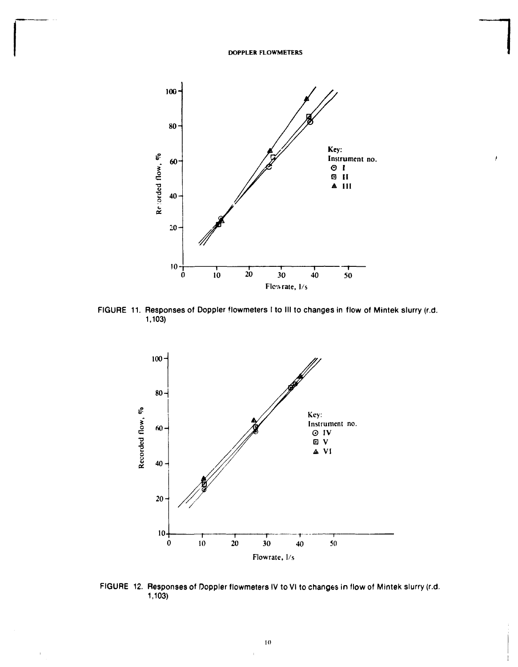

FIGURE 11. Responses of Doppler flowmeters I to III to changes in flow of Mintek slurry (r.d. 1,103)



FIGURE 12. Responses of Doppler flowmeters IV to VI to changes in flow of Mintek slurry (r.d. 1,103)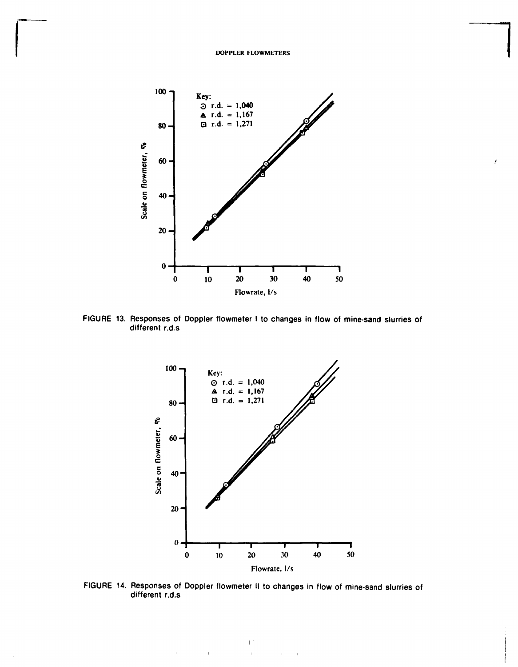

**FIGURE 13. Responses of Doppler flowmeter I to changes in flow of mine-sand slurries of different r.d.s** 



**FIGURE 14. Responses of Doppler flowmeter II to changes in flow of mine-sand slurries of different r.d.s** 

 $\mathbf{r}$  $\mathbf{r}$ 

 $\bar{1}$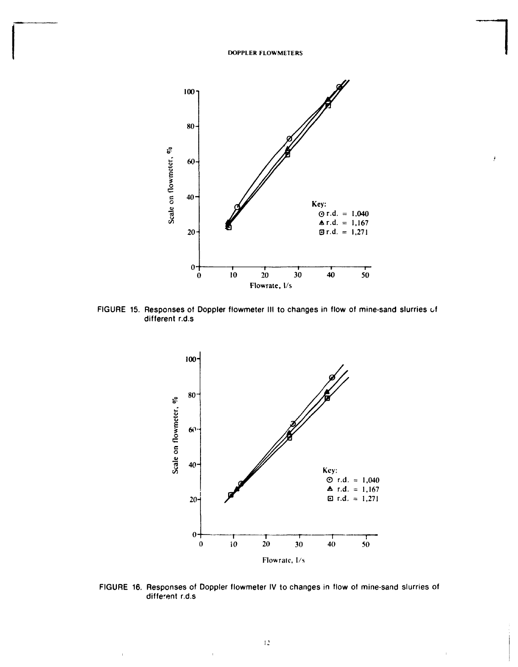

FIGURE 15. Responses of Doppler flowmeter III to changes in flow of mine-sand slurries of different r.d.s



FIGURE 16. Responses of Doppler flowmeter IV to changes in flow of mine-sand slurries of different r.d.s

 $\overline{1}$ 

 $\bar{\rm I}$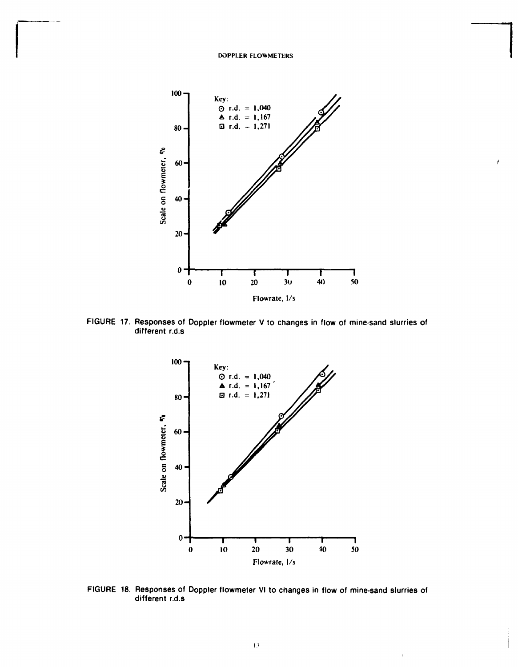

**FIGURE 17. Responses of Ooppler flowmeter V to changes in flow of mine-sand slurries of different r.d.s** 



**FIGURE 18. Responses of Doppler flowmeter VI to changes in flow of mine-sand slurries of different r.d.s** 

 $\bar{1}$ 

 $\mathbf{r}$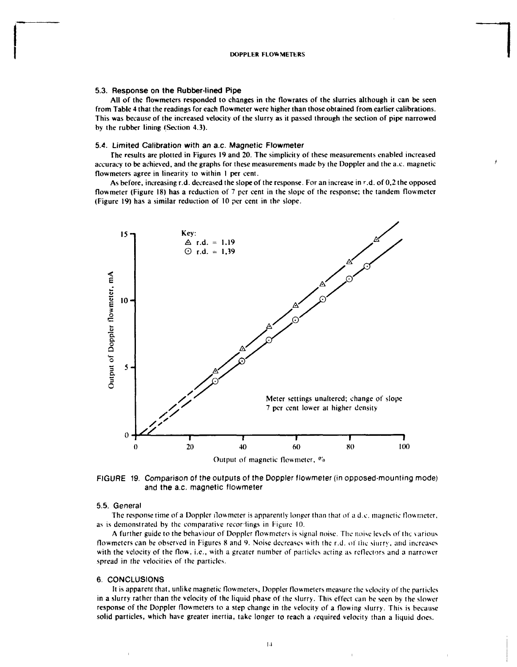#### **5.3. Response on the Rubber-lined Pipe**

All of the flowmeters responded to changes in the flowrates of the slurries although it can be seen from Table 4 that the readings for each flowmeter were higher than those obtained from earlier calibrations. This was because of the increased velocity of the slurry as it passed through the section of pipe narrowed by the rubber lining (Section 4.3).

#### **5.4. Limited Calibration with an** *a.c.* **Magnetic Flowmeter**

The results are plotted in Figures 19 and 20. The simplicity of these measurements enabled increased accuracy to be achieved, and the graphs for these measurements made by the Doppler and the a.c. magnetic flowmeters agree in linearity to within 1 per cent.

As before, increasing r.d. decreased the slope of the response. For an increase in r.d. of 0,2 the opposed flowmeter (Figure 18) has a reduction of 7 per cent in the slope of the response; the tandem flowmeter (Figure 19) has a similar reduction of 10 per cent in the slope.



**FIGURE** 19. Comparison of the outputs of the Doppler flowmeter (in opposed-mounting mode) and **the** a.c. magnetic flowmeter

# 5.5. General

The response time of a Doppler flowmeter is apparently longer than that of a d.c. magnetic flowmeter, as is demonstrated by the comparative recordings in Figure 10.

A further guide to the behaviour of Doppler flowmeters is signal noise. The noise levels of the various flowmeters can be observed in Figures 8 and 9. Noise decreases with ihe r.d. ot ihe slurry, and increases with the velocity of the flow, i.e., with a greater number of particles acting as reflectors and a narrower spread in the velocities of the particles.

# **6. CONCLUSIONS**

It is apparent that, unlike magnetic flowmeters, Doppler flowmeters measure the velocity of the particles in a slurry rather than the velocity of the liquid phase of the slurry. This effect can be seen by the slower response of the Doppler flowmeters to a step change in the velocity of a flowing slurry. This is because solid particles, which have greater inertia, take longer to reach a required velocity than a liquid does.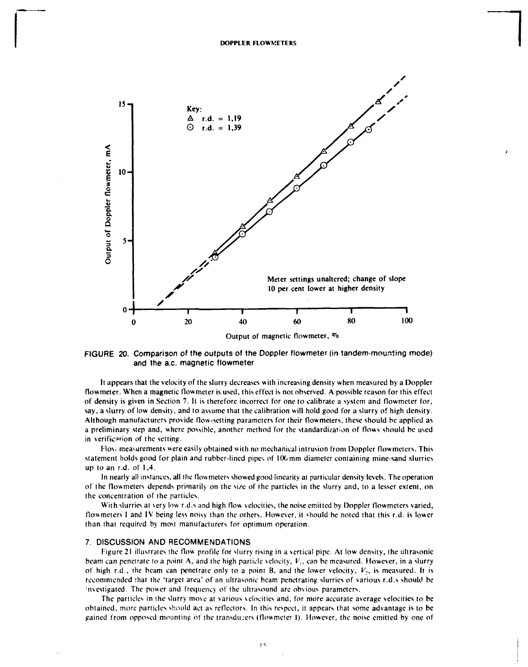

FIGURE 20. Comparison of the outputs of the Doppler flowmeter (in tandem-moursting mode) and the a.c. magnetic flowmeter

It appears that the velocity of the slurry decreases with increasing density when measured by a Doppler flowmeter. When **a** magnetic flowmeter is used, this effect is not observed. A possible reason for this effect of density is given in Section 7. It is therefore incorrect for one to calibrate a system and flowmeter for, say, a slurry of low density, and to assume that the calibration will hold good for a slurry of high density. Although manufacturers provide flow-setting parameters for their flowmeters, these should be applied as a preliminary step and, where possible, another method for the standardization of flows should be used in verification of the setting.

Flow measurements were easily obtained with no mechanical intrusion from Doppler flowmeters. This statement holds good for plain and rubber-lined pipes of 100 mm diameter containing mine-sand slurries up to an r.d. of 1,4.

In nearly all instances, all the flowmeters showed good linearity at particular density levels. The operation of the flowmeters depends primarily on the size of the particles in the slurry and, to a lesser extent, on the concentration of the particles.

With slurries at very low r.d.s and high flow velocities, the noise emitted by Doppler flowmeters varied, flowmeters I and IV being less noisy than the others. However, it «hould be noted that this r.d. is lower than that required by most manufacturers for optimum operation.

# 7. DISCUSSION AND RECOMMENDATIONS

Figure 21 illustrates the flow profile for slurry rising in a vertical pipe. At low density, the ultrasonic beam can penetrate to a point A, and the high particle velocity,  $V_i$ , can be measured. However, in a slurry of high r.d., the beam can penetrate only to a point B, and the lower velocity,  $V_2$ , is measured. It is recommended that the 'target area' of an ultrasonic beam penetrating slurries of various r.d.s should be : nvestigated. The power and frequency of the ultrasound are obvious parameters.

The particles in the slurry move at various velocities and, for more accurate average velocities to be obtained, more particles should act as reflectors. In this respect, it appears that some advantage is to be gained from opposed mounting of the transducers (flowmeter I). However, the noise emitted by one of

 $15$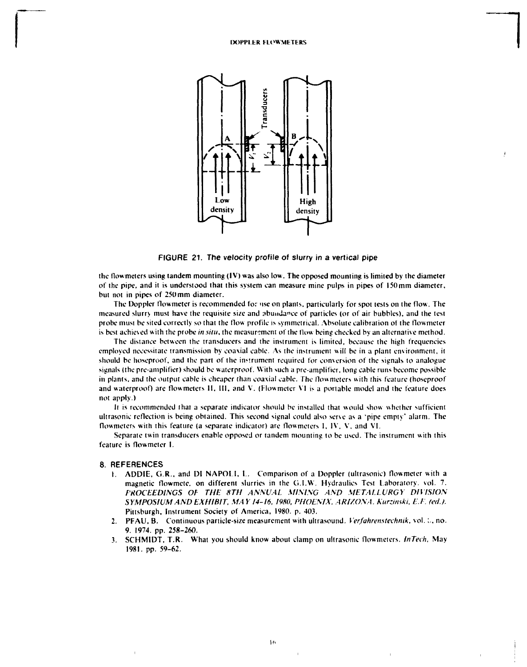

FIGURE 21. The velocity profile of slurry in a vertical pipe

the flowmeters using tandem mounting (IV) was also low. The opposed mounting is limited by the diameter of the pipe, and it is understood that this system can measure mine pulps in pipes of 150 mm diameter, but not in pipes of 250mm diameter.

The Doppler flowmeter is recommended for use on plants, particularly for spot tests on the flow. The measured slurry must have the requisite size and abundance of particles (or of air bubbles), and the test probe must be sited correctly so that the flow profile is symmetrical. Absolute calibration of the flowmeter is best achieved with the probe *in situ*, the measurement of the flow being checked by an alternative method.

The distance between the transducers and the instrument is limited, because the high frequencies employed necessitate transmission by coaxial cable. As the instrument will be in a plant environment, it should be hoseproof, and the part of the instrument required for conversion of the signals to analogue signals (the pre-amplifier) should be waterproof. With such a pre-amplifier, long cable runs become possible in plants, and the output cable is cheaper than coaxial cable. The flowmeters with this feature (hoseproof and waterproof) are flowmeters II. Ill, and V. (Flowmeter VI is a portable model and the feature does not apply.)

It is recommended thai a separate indicator should be installed that would show whether sufficient ultrasonic reflection is being obtained. This second signal could also serve as a 'pipe empty' alarm. The flowmeters with this feature (a separate indicator) are flowmeters I, IV, V, and VI.

Separate twin transducers enable opposed or tandem mounting to be used. The instrument with this feature is flowmeter I.

#### 8. REFERENCES

- 1. ADDIE, G.R.. and DI NAPOLI, I.. Comparison of a Doppler (ultrasonic) flowmeter with a magnetic flowmete. on different slurries in the G.I.W. Hydraulics Test laboratory, vol. 7. *PROCEEDINGS Of THE 8TH ANNUAL MINING AND METALLURGY DIVISION SYMPOSIUM AND EXHIBIT, MAY 14-16, 1980, PHOENIX. ARIZONA. Kurzinski, E.I. (ed.).*  Pittsburgh, Instrument Society of America, 1980. p. 403.
- 2. PFAU, B. Continuous particle-size measurement with ultrasound. *Verfahrenstechnik,* vol.;., no. 9. 1974. pp. 258-260.
- 3. SCHMIDT, T.R. What you should know about clamp on ultrasonic flowmeters. *InTech,* May 1981. pp. 59-62.